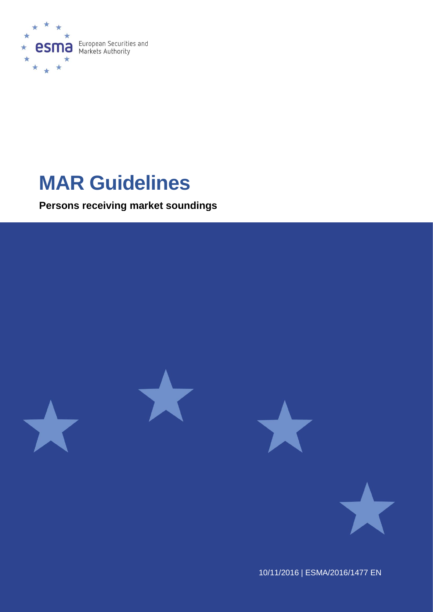

# **MAR Guidelines**

**Persons receiving market soundings**



10/11/2016 | ESMA/2016/1477 EN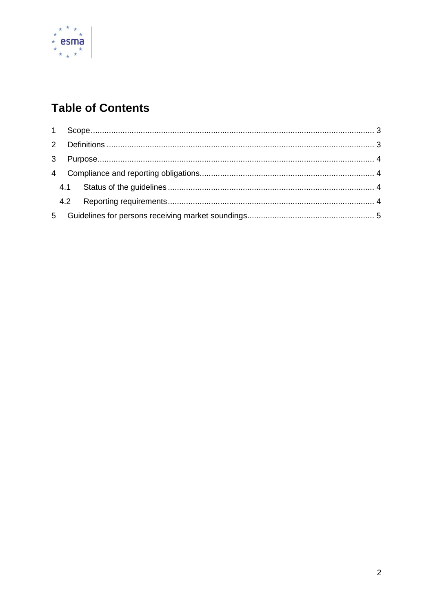

# **Table of Contents**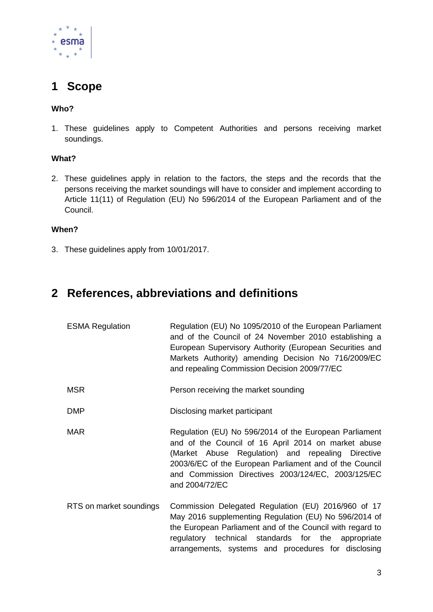

# <span id="page-2-0"></span>**1 Scope**

## **Who?**

1. These guidelines apply to Competent Authorities and persons receiving market soundings.

## **What?**

2. These guidelines apply in relation to the factors, the steps and the records that the persons receiving the market soundings will have to consider and implement according to Article 11(11) of Regulation (EU) No 596/2014 of the European Parliament and of the Council.

## **When?**

3. These guidelines apply from 10/01/2017.

# <span id="page-2-1"></span>**2 References, abbreviations and definitions**

| <b>ESMA Regulation</b>  | Regulation (EU) No 1095/2010 of the European Parliament<br>and of the Council of 24 November 2010 establishing a<br>European Supervisory Authority (European Securities and<br>Markets Authority) amending Decision No 716/2009/EC<br>and repealing Commission Decision 2009/77/EC                    |
|-------------------------|-------------------------------------------------------------------------------------------------------------------------------------------------------------------------------------------------------------------------------------------------------------------------------------------------------|
| <b>MSR</b>              | Person receiving the market sounding                                                                                                                                                                                                                                                                  |
| <b>DMP</b>              | Disclosing market participant                                                                                                                                                                                                                                                                         |
| <b>MAR</b>              | Regulation (EU) No 596/2014 of the European Parliament<br>and of the Council of 16 April 2014 on market abuse<br>(Market Abuse Regulation) and repealing Directive<br>2003/6/EC of the European Parliament and of the Council<br>and Commission Directives 2003/124/EC, 2003/125/EC<br>and 2004/72/EC |
| RTS on market soundings | Commission Delegated Regulation (EU) 2016/960 of 17<br>May 2016 supplementing Regulation (EU) No 596/2014 of<br>the European Parliament and of the Council with regard to<br>regulatory technical standards for the appropriate<br>arrangements, systems and procedures for disclosing                |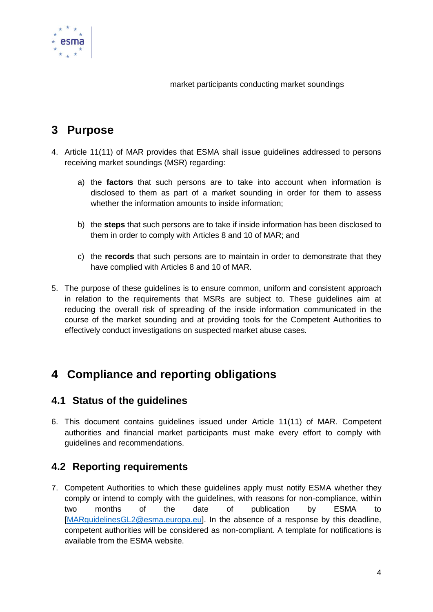

market participants conducting market soundings

# <span id="page-3-0"></span>**3 Purpose**

- 4. Article 11(11) of MAR provides that ESMA shall issue guidelines addressed to persons receiving market soundings (MSR) regarding:
	- a) the **factors** that such persons are to take into account when information is disclosed to them as part of a market sounding in order for them to assess whether the information amounts to inside information;
	- b) the **steps** that such persons are to take if inside information has been disclosed to them in order to comply with Articles 8 and 10 of MAR; and
	- c) the **records** that such persons are to maintain in order to demonstrate that they have complied with Articles 8 and 10 of MAR.
- 5. The purpose of these guidelines is to ensure common, uniform and consistent approach in relation to the requirements that MSRs are subject to. These guidelines aim at reducing the overall risk of spreading of the inside information communicated in the course of the market sounding and at providing tools for the Competent Authorities to effectively conduct investigations on suspected market abuse cases.

# <span id="page-3-1"></span>**4 Compliance and reporting obligations**

## <span id="page-3-2"></span>**4.1 Status of the guidelines**

6. This document contains guidelines issued under Article 11(11) of MAR. Competent authorities and financial market participants must make every effort to comply with guidelines and recommendations.

## <span id="page-3-3"></span>**4.2 Reporting requirements**

7. Competent Authorities to which these guidelines apply must notify ESMA whether they comply or intend to comply with the guidelines, with reasons for non-compliance, within two months of the date of publication by ESMA to [\[MARguidelinesGL2@esma.europa.eu\]](mailto:MARguidelinesGL2@esma.europa.eu). In the absence of a response by this deadline, competent authorities will be considered as non-compliant. A template for notifications is available from the ESMA website.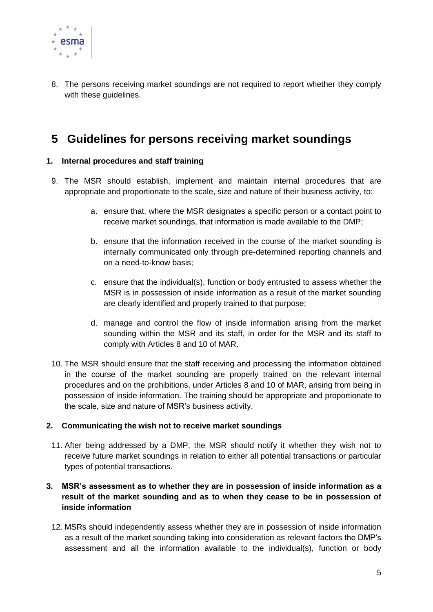

8. The persons receiving market soundings are not required to report whether they comply with these quidelines.

# <span id="page-4-0"></span>**5 Guidelines for persons receiving market soundings**

## **1. Internal procedures and staff training**

- 9. The MSR should establish, implement and maintain internal procedures that are appropriate and proportionate to the scale, size and nature of their business activity, to:
	- a. ensure that, where the MSR designates a specific person or a contact point to receive market soundings, that information is made available to the DMP;
	- b. ensure that the information received in the course of the market sounding is internally communicated only through pre-determined reporting channels and on a need-to-know basis;
	- c. ensure that the individual(s), function or body entrusted to assess whether the MSR is in possession of inside information as a result of the market sounding are clearly identified and properly trained to that purpose;
	- d. manage and control the flow of inside information arising from the market sounding within the MSR and its staff, in order for the MSR and its staff to comply with Articles 8 and 10 of MAR.
- 10. The MSR should ensure that the staff receiving and processing the information obtained in the course of the market sounding are properly trained on the relevant internal procedures and on the prohibitions, under Articles 8 and 10 of MAR, arising from being in possession of inside information. The training should be appropriate and proportionate to the scale, size and nature of MSR's business activity.

## **2. Communicating the wish not to receive market soundings**

11. After being addressed by a DMP, the MSR should notify it whether they wish not to receive future market soundings in relation to either all potential transactions or particular types of potential transactions.

## **3. MSR's assessment as to whether they are in possession of inside information as a result of the market sounding and as to when they cease to be in possession of inside information**

12. MSRs should independently assess whether they are in possession of inside information as a result of the market sounding taking into consideration as relevant factors the DMP's assessment and all the information available to the individual(s), function or body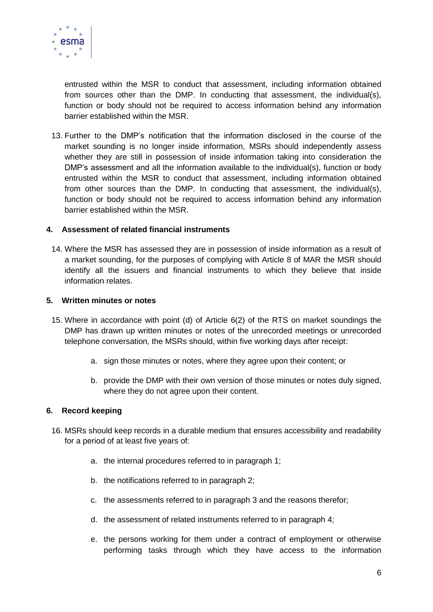

entrusted within the MSR to conduct that assessment, including information obtained from sources other than the DMP. In conducting that assessment, the individual(s), function or body should not be required to access information behind any information barrier established within the MSR.

13. Further to the DMP's notification that the information disclosed in the course of the market sounding is no longer inside information, MSRs should independently assess whether they are still in possession of inside information taking into consideration the DMP's assessment and all the information available to the individual(s), function or body entrusted within the MSR to conduct that assessment, including information obtained from other sources than the DMP. In conducting that assessment, the individual(s), function or body should not be required to access information behind any information barrier established within the MSR.

## **4. Assessment of related financial instruments**

14. Where the MSR has assessed they are in possession of inside information as a result of a market sounding, for the purposes of complying with Article 8 of MAR the MSR should identify all the issuers and financial instruments to which they believe that inside information relates.

#### **5. Written minutes or notes**

- 15. Where in accordance with point (d) of Article 6(2) of the RTS on market soundings the DMP has drawn up written minutes or notes of the unrecorded meetings or unrecorded telephone conversation, the MSRs should, within five working days after receipt:
	- a. sign those minutes or notes, where they agree upon their content; or
	- b. provide the DMP with their own version of those minutes or notes duly signed, where they do not agree upon their content.

## **6. Record keeping**

- 16. MSRs should keep records in a durable medium that ensures accessibility and readability for a period of at least five years of:
	- a. the internal procedures referred to in paragraph 1;
	- b. the notifications referred to in paragraph 2;
	- c. the assessments referred to in paragraph 3 and the reasons therefor;
	- d. the assessment of related instruments referred to in paragraph 4;
	- e. the persons working for them under a contract of employment or otherwise performing tasks through which they have access to the information